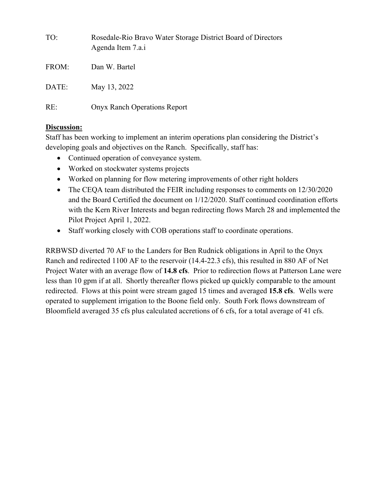| TO:   | Rosedale-Rio Bravo Water Storage District Board of Directors<br>Agenda Item 7.a.i |
|-------|-----------------------------------------------------------------------------------|
| FROM: | Dan W. Bartel                                                                     |
| DATE: | May 13, 2022                                                                      |
| RE:   | <b>Onyx Ranch Operations Report</b>                                               |

## **Discussion:**

Staff has been working to implement an interim operations plan considering the District's developing goals and objectives on the Ranch. Specifically, staff has:

- Continued operation of conveyance system.
- Worked on stockwater systems projects
- Worked on planning for flow metering improvements of other right holders
- The CEQA team distributed the FEIR including responses to comments on 12/30/2020 and the Board Certified the document on 1/12/2020. Staff continued coordination efforts with the Kern River Interests and began redirecting flows March 28 and implemented the Pilot Project April 1, 2022.
- Staff working closely with COB operations staff to coordinate operations.

RRBWSD diverted 70 AF to the Landers for Ben Rudnick obligations in April to the Onyx Ranch and redirected 1100 AF to the reservoir (14.4-22.3 cfs), this resulted in 880 AF of Net Project Water with an average flow of **14.8 cfs**. Prior to redirection flows at Patterson Lane were less than 10 gpm if at all. Shortly thereafter flows picked up quickly comparable to the amount redirected. Flows at this point were stream gaged 15 times and averaged **15.8 cfs**. Wells were operated to supplement irrigation to the Boone field only. South Fork flows downstream of Bloomfield averaged 35 cfs plus calculated accretions of 6 cfs, for a total average of 41 cfs.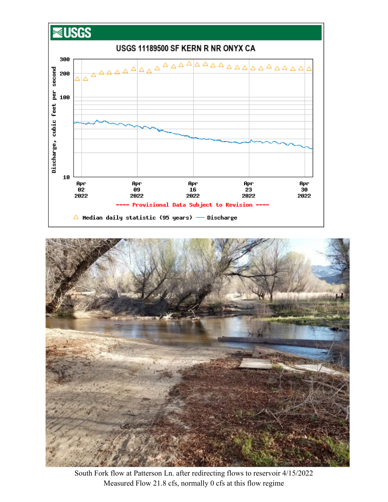



South Fork flow at Patterson Ln. after redirecting flows to reservoir 4/15/2022 Measured Flow 21.8 cfs, normally 0 cfs at this flow regime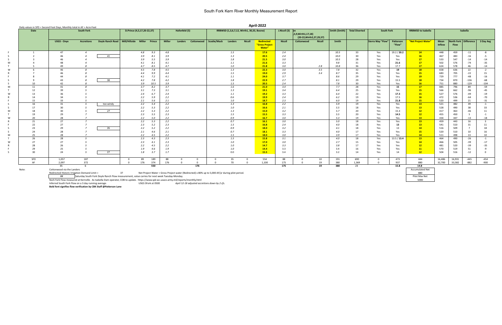## South Fork Kern River Monthly Measurement Report

|                           | Daily values in SFD = Second Foot Days, Monthly total in AF = Acre-Feet |                   |                  |               |                                                                                                   |      |               |               |             |              |                                           |               |                                        |                 |                                                       |               |               |                       |                   |                     |                           |                       |                                          |          |           |
|---------------------------|-------------------------------------------------------------------------|-------------------|------------------|---------------|---------------------------------------------------------------------------------------------------|------|---------------|---------------|-------------|--------------|-------------------------------------------|---------------|----------------------------------------|-----------------|-------------------------------------------------------|---------------|---------------|-----------------------|-------------------|---------------------|---------------------------|-----------------------|------------------------------------------|----------|-----------|
| Date<br><b>South Fork</b> |                                                                         |                   |                  |               | D.Prince (4,5,17,20-22,37)                                                                        |      |               | Hafenfeld (5) |             |              | RRBWSD (1,3,6,7,12, Wirth1, 30,33, Boone) |               |                                        | J.Nicoll (3) on | 5,9, Wirth 1, 17, 18)<br>(20-22, Wirth 2, 27, 29, 37) |               | Smith (Smith) | <b>Total Diverted</b> | <b>South Fork</b> |                     | <b>RRBWSD to Isabella</b> |                       |                                          | Isabella |           |
|                           | USGS - Onyx                                                             | <b>Accretions</b> | Doyle Ranch Road | Mill/Hillside | Miller<br>Prince                                                                                  |      | <b>Miller</b> | Landers       | Cottonwood  | Scodie/Mack  | Landers                                   | <b>Nicoll</b> | Redirected<br>"Gross Project<br>Water" | <b>Nicoll</b>   | Cottonwood                                            | <b>Nicoll</b> | Smith         |                       | Sierra Way "Flow" | Patterson<br>"Flow" | "Net Project Water"       | Mean<br><b>Inflow</b> | North Fork   Difference  <br><b>Flow</b> |          | 3 Day Avg |
|                           | 47                                                                      |                   |                  |               | 4.8                                                                                               | 9.3  | 4.8           |               |             |              | 1.5                                       |               | 17.6                                   | 2.4             |                                                       |               | 10.5          | 33                    | Yes               | 19.2 / 20.2         | 14                        | 448                   | 459                                      | $-11$    |           |
|                           | 46                                                                      |                   | 41               |               | 3.9<br>8.1                                                                                        |      | 3.9           |               |             |              | 1.3                                       |               | 20.5                                   | 2.4             |                                                       |               | 10.0          | 30                    | Yes               | Yes                 | <b>16</b>                 | 467                   | 483                                      | $-16$    |           |
|                           |                                                                         |                   |                  |               | 3.9                                                                                               | 5.5  | 3.9           |               |             |              | 1.8                                       |               | 21.5                                   | 3.0             |                                                       |               | 10.5          | 28                    | Yes               | Yes                 | 17                        | 533                   | 547                                      | $-14$    |           |
|                           | 48                                                                      |                   |                  |               | 4.1<br>8.1                                                                                        |      | 4.1           |               |             |              | 1.1                                       |               | 21.6                                   | 3.3             |                                                       |               | 9.8           | 31                    | Yes               | 21.6                | 17                        | 502                   | 576                                      | $-74$    |           |
|                           | 49                                                                      |                   |                  |               | 4.7                                                                                               | 8.5  | 4.7           |               |             |              | $1.0\,$                                   |               | 21.8                                   | 3.0             |                                                       | 2.8           | 10.8          | 36                    | Yes               | 17.7                | 17 <sup>2</sup>           | 624                   | 578                                      | 46       |           |
|                           | 46                                                                      |                   |                  |               | 4.5                                                                                               | 7.8  | 4.5           |               |             |              | 1.3                                       |               | 22.3                                   | 3.0             |                                                       | 3.5           | 7.8           | 32                    | Yes               | 19                  | <b>18</b>                 | 658                   | 636                                      | 22       |           |
|                           | 46                                                                      |                   |                  |               | 4.4                                                                                               | 9.9  | 4.4           |               |             |              | 1.5                                       |               | 19.0                                   | 2.9             |                                                       | 3.4           | 8.7           | 35                    | Yes               | Yes                 | <b>15</b>                 | 683                   | 705                                      | $-22$    |           |
|                           |                                                                         |                   |                  |               | 4.1                                                                                               | 7.2  | 4.1           |               |             |              | $1.1\,$                                   |               | 24.0                                   | 3.7             |                                                       |               | 8.6           | 29                    | Yes               | Yes                 | 19                        | 729                   | 777                                      | $-48$    |           |
|                           | 43                                                                      |                   | 38               |               | 4.2                                                                                               | 7.8  | 4.2           |               |             |              | 1.8                                       |               | 22.9                                   | 2.7             |                                                       |               | 8.1           | 29                    | Yes               | 15.5                | <b>18</b>                 | 734                   | 870                                      | $-136$   |           |
|                           | 42                                                                      |                   |                  |               | 3.9                                                                                               | 10.5 | 3.9           |               |             |              | 1.5                                       |               | 20.5                                   | 2.4             |                                                       |               | 7.8           | 30                    | Yes               | Yes                 | <b>16</b>                 | 751                   | 880                                      | $-129$   |           |
| 11                        | 41                                                                      |                   |                  |               | 3.7                                                                                               | 8.2  | 3.7           |               |             |              | 1.6                                       |               | 21.0                                   | 3.4             |                                                       |               | 7.7           | 28                    | Yes               | 15                  | 17                        | 885                   | 796                                      | 89       |           |
| 12                        | 39                                                                      |                   |                  |               | 3.1                                                                                               | 7.3  | 3.1           |               |             |              | 1.3                                       |               | 19.1                                   | 3.4             |                                                       |               | 6.4           | 25                    | Yes               | Yes                 | 15                        | 566                   | 662                                      | -96      |           |
| 13                        | 36                                                                      |                   |                  |               | 2.4                                                                                               | 6.7  | 2.4           |               |             |              | $1.1$                                     |               | 19.2                                   | 3.3             |                                                       |               | 6.4           | 22                    | Yes               | 17.3                | 15                        | 527                   | 576                                      | $-49$    |           |
| 14                        | 34                                                                      |                   |                  |               | 2.2                                                                                               | 5.9  | 2.2           |               |             |              | 0.6                                       |               | 19.9                                   | 2.4             |                                                       |               | 6.2           | 19                    | Yes               | 17.5                | 16                        | 472                   | 536                                      | $-64$    |           |
| 15                        | 33                                                                      |                   |                  |               | 2.1                                                                                               | 5.6  | 2.1           |               |             |              | $1.0\,$                                   |               | 18.7                                   | 2.3             |                                                       |               | 6.0           | 19                    | Yes               | 21.8                | 15                        | 520                   | 499                                      | 21       |           |
| 16                        | 31                                                                      |                   | too windy        |               | 2.2                                                                                               | 5.4  | 2.2           |               |             |              | 1.3                                       |               | 16.8                                   | 2.2             |                                                       |               | 5.9           | 19                    | Yes               | Yes                 | 13                        | 521                   | 482                                      | 39       |           |
| 17                        | 30                                                                      |                   |                  |               | 2.2                                                                                               | 5.3  | 2.2           |               |             |              | $1.0\,$                                   |               | 16.6                                   | 2.1             |                                                       |               | 5.5           | 18                    | Yes               | Yes                 | 13                        | 528                   | 490                                      | 38       |           |
| 18                        | 30                                                                      |                   | 27               |               | 2.2                                                                                               | 5.3  | 2.2           |               |             |              | 1.3                                       |               | 15.0                                   | 3.2             |                                                       |               | 5.7           | 20                    | Yes               | 15.3                | 12                        | 417                   | 463                                      | $-46$    |           |
| 19                        | 29                                                                      |                   |                  |               | 2.3                                                                                               | 5.5  | 2.3           |               |             |              | 1.5                                       |               | 15.5                                   | 3.3             |                                                       |               | 5.5           | 20                    | Yes               | 14.5                | 12                        | 455                   | 450                                      | - 5      |           |
| 20                        | 28                                                                      |                   |                  |               | 2.2                                                                                               | 5.0  | 2.2           |               |             |              | 0.9                                       |               | 16.7                                   | 3.0             |                                                       |               | 5.3           | 19                    | Yes               | Yes                 | 13 <sup>°</sup>           | 434                   | 447                                      | $-13$    |           |
| 21                        | 27                                                                      |                   |                  |               | 2.2                                                                                               | 5.3  | 2.2           |               |             |              | 0.7                                       |               | 16.1                                   | 3.0             |                                                       |               | 5.0           | 18                    | Yes               | Yes                 | 13                        | 459                   | 443                                      | 16       |           |
| 22                        | 27                                                                      |                   |                  |               | 2.3<br>5.2                                                                                        |      | 2.3           |               |             |              | 1.5                                       |               | <b>16.8</b>                            | 2.4             |                                                       |               | 4.0           | 18                    | Yes               | 13                  | 13                        | 541                   | 510                                      | 31       |           |
| 23                        | 29                                                                      |                   | 26               |               | 2.2<br>5.2                                                                                        |      | 2.2           |               |             |              | 0.9                                       |               | <b>18.0</b>                            | 3.2             |                                                       |               | 4.1           | 18                    | Yes               | 13                  | 14                        | 516                   | 509                                      |          |           |
| 24                        | 28                                                                      |                   |                  |               | 2.1                                                                                               | 4.6  | 2.1           |               |             |              | 0.7                                       |               | <b>18.1</b>                            | 3.3             |                                                       |               | 4.0           | 17                    | Yes               | Yes                 | 15                        | 520                   | 510                                      | 10       |           |
| 25                        | 28                                                                      |                   |                  |               | 2.2                                                                                               | 4.5  | 2.2           |               |             |              | 1.5                                       |               | 18.0                                   | 3.0             |                                                       |               | 3.9           | 17                    | Yes               | Yes                 | 14                        | 511                   | 498                                      | 13       |           |
| 26                        | 28                                                                      |                   |                  |               | 2.3                                                                                               | 4.3  | 2.3           |               |             |              | 1.5                                       |               | 15.8                                   | 3.1             |                                                       |               | 4.0           | 18                    | Yes               | 13.5 / 13.4         | 13 <sup>7</sup>           | 464                   | 490                                      | $-26$    |           |
| 27                        | 27                                                                      |                   |                  |               | 2.3<br>4.1                                                                                        |      | 2.3           |               |             |              | $1.0$                                     |               | 17.0                                   | 3.0             |                                                       |               | 2.7           | 15                    | Yes               | Yes                 | 14                        | 466                   | 505                                      | $-39$    |           |
| 28                        | 26                                                                      |                   |                  |               | 2.2<br>4.5                                                                                        |      | 2.2           |               |             |              | $1.0\,$                                   |               | 14.7                                   | 3.3             |                                                       |               | 3.8           | 17                    | Yes               | Yes                 | 12                        | 481                   | 520                                      | $-39$    |           |
| 29                        | 25                                                                      |                   |                  |               | 1.9                                                                                               | 4.6  | 1.9           |               |             |              | 1.0                                       |               | 14.4                                   | 3.3             |                                                       |               | 3.4           | 16                    | Yes               | Yes                 | 11                        | 570                   | 519                                      | 51       |           |
| 30                        | 24                                                                      |                   | 27               |               | 1.8                                                                                               | 3.7  | 1.7           |               |             |              | 0.0                                       |               | 15.5                                   | 3.4             |                                                       |               | 3.2           | 14                    | Yes               | 14                  | 12                        | 504                   | 516                                      | $-12$    |           |
| SFD                       | 1,057                                                                   | 187               |                  | $\mathbf 0$   | 89                                                                                                | 189  | 88            |               | $\mathbf 0$ | $\mathbf{0}$ | 35                                        |               | 554                                    | 88              | $^{\circ}$                                            | 10            | 191           | 690                   | $\Omega$          | 473                 | 444                       | 16,486                | 16,931                                   | $-445$   |           |
| AF                        | 2,097                                                                   | 372               |                  | $\Omega$      | 176                                                                                               | 374  | 176           |               | $\Omega$    | $\Omega$     | 70                                        |               | 1,100                                  | 175             | $\Omega$                                              | 19            | 380           | 1,369                 |                   | 937                 | 880                       | 32,700                | 33,582                                   | -882     |           |
|                           | 35                                                                      | -6                |                  |               |                                                                                                   | 550  |               |               | 176         |              |                                           |               |                                        | 175             |                                                       | 19            | 380           | 23                    |                   | 15.8                | 14.8                      |                       |                                          |          |           |
|                           | Cottonwood via the Landers                                              |                   |                  |               |                                                                                                   |      |               |               |             |              |                                           |               |                                        |                 |                                                       |               |               |                       |                   |                     | <b>Accumulated Net</b>    |                       |                                          |          |           |
|                           | Redirected Historic Irrigation Demand Limit =                           |                   |                  | 37            | Net Project Water = Gross Project water (Redirected) x 80% up to 5,000 AF/yr during pilot period. |      |               |               |             |              |                                           |               |                                        |                 |                                                       |               |               |                       |                   |                     | 880                       |                       |                                          |          |           |

## Saturday South Fork Doyle Ranch Flow measurement, value carries for next week Tuesday-Monday. Pilot Max Net

Nork Fork Flow measured at Kernville. As Isabella Dam operator, COB to update. https://www.spk-wc.usace.army.mil/reports/monthly.html 5000 states are a state of the state of the state of the state of the state of the state

Inferred South Fork Flow on a 3 day running average. USGS SFork at 0500 *April 12-18 adjusted accretions down by 2 cfs.*

**Bold font signifies flow verification by CBK Staff @Patterson Lane**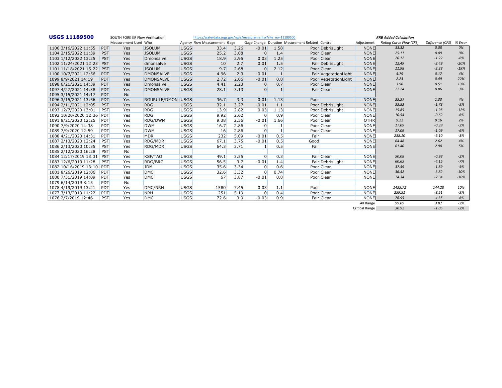| <b>USGS 11189500</b>  |            | SOUTH FORK KR Flow Verification |                     |             | https://waterdata.usgs.gov/nwis/measurements/?site_no=11189500 |      |                |              |                                                 | <b>RRB Added Calculation</b> |                       |                         |                  |         |  |  |
|-----------------------|------------|---------------------------------|---------------------|-------------|----------------------------------------------------------------|------|----------------|--------------|-------------------------------------------------|------------------------------|-----------------------|-------------------------|------------------|---------|--|--|
|                       |            | Measurement Used Who            |                     |             | Agency Flow Measurement Gage                                   |      |                |              | Gage Change Duration Mesurement Related Control |                              | Adjustment            | Rating Curve Flow (CFS) | Difference (CFS) | % Error |  |  |
| 1106 3/16/2022 11:55  | <b>PDT</b> | Yes                             | <b>JSOLUM</b>       | <b>USGS</b> | 33.4                                                           | 3.26 | $-0.01$        | 1.58         |                                                 | Poor DebrisLight             | <b>NONE</b>           | 33.32                   | 0.08             | 0%      |  |  |
| 1104 2/15/2022 11:39  | PST        | Yes                             | <b>JSOLUM</b>       | <b>USGS</b> | 25.2                                                           | 3.08 | $\mathbf{0}$   | 1.4          |                                                 | Poor Clear                   | <b>NONE</b>           | 25.11                   | 0.09             | 0%      |  |  |
| 1103 1/12/2022 13:25  | <b>PST</b> | Yes                             | Dmonsalve           | <b>USGS</b> | 18.9                                                           | 2.95 | 0.03           | 1.25         |                                                 | Poor Clear                   | <b>NONE</b>           | 20.12                   | $-1.22$          | $-6%$   |  |  |
| 1102 11/24/2021 12:23 | <b>PST</b> | Yes                             | dmonsalve           | <b>USGS</b> | 10                                                             | 2.7  | 0.01           | 1.5          |                                                 | Fair DebrisLight             | <b>NONE</b>           | 12.49                   | $-2.49$          | $-20%$  |  |  |
| 1101 11/18/2021 15:22 | <b>PST</b> | Yes                             | <b>JSOLUM</b>       | <b>USGS</b> | 9.7                                                            | 2.68 | $\overline{0}$ | 2.12         |                                                 | Poor Clear                   | <b>NONE</b>           | 11.98                   | $-2.28$          | $-19%$  |  |  |
| 1100 10/7/2021 12:56  | <b>PDT</b> | Yes                             | <b>DMONSALVE</b>    | <b>USGS</b> | 4.96                                                           | 2.3  | $-0.01$        | 1            |                                                 | Fair VegetationLight         | <b>NONE</b>           | 4.79                    | 0.17             | 4%      |  |  |
| 1099 8/9/2021 14:19   | <b>PDT</b> | <b>Yes</b>                      | <b>DMONSALVE</b>    | <b>USGS</b> | 2.72                                                           | 2.06 | $-0.01$        | 0.8          |                                                 | Poor VegetationLight         | <b>NONE</b>           | 2.23                    | 0.49             | 22%     |  |  |
| 1098 6/21/2021 14:39  | <b>PDT</b> | Yes                             | Dmonsalve           | <b>USGS</b> | 4.41                                                           | 2.23 | $\mathbf{0}$   | 0.7          |                                                 | Poor Clear                   | <b>NONE</b>           | 3.90                    | 0.51             | 13%     |  |  |
| 1097 4/27/2021 14:38  | <b>PDT</b> | Yes                             | <b>DMONSALVE</b>    | <b>USGS</b> | 28.1                                                           | 3.13 | $\overline{0}$ | 1            |                                                 | Fair Clear                   | <b>NONE</b>           | 27.24                   | 0.86             | 3%      |  |  |
| 1095 3/15/2021 14:17  | PDT        | <b>No</b>                       |                     |             |                                                                |      |                |              |                                                 |                              |                       |                         |                  |         |  |  |
| 1096 3/15/2021 13:56  | <b>PDT</b> | Yes                             | <b>RGURULE/DMON</b> | <b>USGS</b> | 36.7                                                           | 3.3  | 0.01           | 1.13         | Poor                                            |                              | <b>NONE</b>           | 35.37                   | 1.33             | 4%      |  |  |
| 1094 2/11/2021 12:05  | <b>PST</b> | Yes                             | <b>RDG</b>          | <b>USGS</b> | 32.1                                                           | 3.27 | $-0.01$        | 1.1          |                                                 | Poor DebrisLight             | <b>NONE</b>           | 33.83                   | $-1.73$          | $-5%$   |  |  |
| 1093 12/7/2020 13:01  | PST        | Yes                             | <b>RDG</b>          | <b>USGS</b> | 13.9                                                           | 2.82 | 0.03           | 1.13         |                                                 | Poor DebrisLight             | <b>NONE</b>           | 15.85                   | $-1.95$          | $-12%$  |  |  |
| 1092 10/20/2020 12:36 | PDT        | Yes                             | <b>RDG</b>          | <b>USGS</b> | 9.92                                                           | 2.62 | $\mathbf{0}$   | 0.9          |                                                 | Poor Clear                   | <b>NONE</b>           | 10.54                   | $-0.62$          | $-6%$   |  |  |
| 1091 8/21/2020 12:25  | <b>PDT</b> | Yes                             | RDG/DWM             | <b>USGS</b> | 9.38                                                           | 2.56 | $-0.01$        | 1.66         |                                                 | Poor Clear                   | <b>OTHR</b>           | 9.22                    | 0.16             | 2%      |  |  |
| 1090 7/9/2020 14:38   | <b>PDT</b> | Yes                             | <b>DWM</b>          | <b>USGS</b> | 16.7                                                           | 2.86 | $\mathbf{0}$   |              |                                                 | Poor Clear                   | <b>NONE</b>           | 17.09                   | $-0.39$          | $-2%$   |  |  |
| 1089 7/9/2020 12:59   | <b>PDT</b> | Yes                             | <b>DWM</b>          | <b>USGS</b> | 16                                                             | 2.86 | $\overline{0}$ | $\mathbf{1}$ |                                                 | Poor Clear                   | <b>NONE</b>           | 17.09                   | $-1.09$          | $-6%$   |  |  |
| 1088 4/21/2020 14:31  | PDT        | Yes                             | <b>MDR</b>          | <b>USGS</b> | 232                                                            | 5.09 | $-0.01$        | 0.5          | Fair                                            |                              | <b>NONE</b>           | 238.10                  | $-6.10$          | $-3%$   |  |  |
| 1087 2/13/2020 12:24  | PST        | Yes                             | <b>RDG/MDR</b>      | <b>USGS</b> | 67.1                                                           | 3.75 | $-0.01$        | 0.5          | Good                                            |                              | <b>NONE</b>           | 64.48                   | 2.62             | 4%      |  |  |
| 1086 2/13/2020 10:35  | PST        | Yes                             | RDG/MDR             | <b>USGS</b> | 64.3                                                           | 3.71 | $\mathbf{1}$   | 0.5          | Fair                                            |                              | <b>NONE</b>           | 61.40                   | 2.90             | 5%      |  |  |
| 1085 2/12/2020 16:28  | <b>PST</b> | No                              |                     |             |                                                                |      |                |              |                                                 |                              |                       |                         |                  |         |  |  |
| 1084 12/17/2019 13:31 | PST        | Yes                             | <b>KSF/TAO</b>      | <b>USGS</b> | 49.1                                                           | 3.55 | $\Omega$       | 0.3          |                                                 | Fair Clear                   | <b>NONE</b>           | 50.08                   | $-0.98$          | $-2%$   |  |  |
| 1083 12/6/2019 11:28  | PST        | Yes                             | RDG/BRG             | <b>USGS</b> | 56.5                                                           | 3.7  | $-0.01$        | 1.4          |                                                 | Fair DebrisLight             | <b>NONE</b>           | 60.65                   | $-4.15$          | $-7%$   |  |  |
| 1082 10/16/2019 13:10 | PDT        | Yes                             | <b>JDM</b>          | <b>USGS</b> | 35.6                                                           | 3.34 | $\Omega$       | 0.6          |                                                 | Poor Clear                   | <b>NONE</b>           | 37.49                   | $-1.89$          | $-5%$   |  |  |
| 10818/26/2019 12:06   | <b>PDT</b> | Yes                             | <b>DMC</b>          | <b>USGS</b> | 32.6                                                           | 3.32 | $\Omega$       | 0.74         |                                                 | Poor Clear                   | <b>NONE</b>           | 36.42                   | $-3.82$          | $-10%$  |  |  |
| 1080 7/31/2019 14:09  | <b>PDT</b> | Yes                             | <b>DMC</b>          | <b>USGS</b> | 67                                                             | 3.87 | $-0.01$        | 0.8          |                                                 | Poor Clear                   | <b>NONE</b>           | 74.34                   | $-7.34$          | $-10%$  |  |  |
| 1079 6/14/2019 8:15   | <b>PDT</b> | <b>No</b>                       |                     |             |                                                                |      |                |              |                                                 |                              |                       |                         |                  |         |  |  |
| 1078 4/19/2019 13:21  | <b>PDT</b> | Yes                             | DMC/NRH             | <b>USGS</b> | 1580                                                           | 7.45 | 0.03           | 1.1          | Poor                                            |                              | <b>NONE</b>           | 1435.72                 | 144.28           | 10%     |  |  |
| 1077 3/13/2019 11:22  | <b>PDT</b> | Yes                             | <b>NRH</b>          | <b>USGS</b> | 251                                                            | 5.19 | $\overline{0}$ | 0.4          |                                                 | Poor Clear                   | <b>NONE</b>           | 259.51                  | $-8.51$          | $-3%$   |  |  |
| 1076 2/7/2019 12:46   | <b>PST</b> | Yes                             | <b>DMC</b>          | <b>USGS</b> | 72.6                                                           | 3.9  | $-0.03$        | 0.9          |                                                 | Fair Clear                   | <b>NONE</b>           | 76.95                   | $-4.35$          | $-6%$   |  |  |
|                       |            |                                 |                     |             |                                                                |      |                |              |                                                 |                              | All Range             | 99.09                   | 3.87             | $-2%$   |  |  |
|                       |            |                                 |                     |             |                                                                |      |                |              |                                                 |                              | <b>Critical Range</b> | 30.92                   | $-1.05$          | $-3%$   |  |  |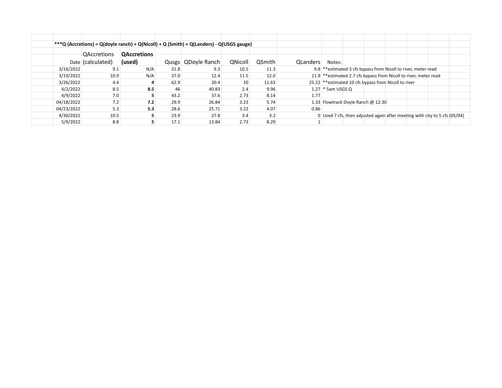|            |                                         |                              |      | ***Q (Accretions) = Q(doyle ranch) + Q(Nicoll) + Q (Smith) + Q(Landers) - Q(USGS gauge) |         |               |          |                                                                            |  |  |  |  |  |
|------------|-----------------------------------------|------------------------------|------|-----------------------------------------------------------------------------------------|---------|---------------|----------|----------------------------------------------------------------------------|--|--|--|--|--|
|            | <b>QAccretions</b><br>Date (calculated) | <b>QAccretions</b><br>(used) |      | Qusgs   QDoyle Ranch                                                                    | QNicoll | <b>QSmith</b> | QLanders | Notes:                                                                     |  |  |  |  |  |
| 3/16/2022  | 9.1                                     | N/A                          | 31.8 | 9.3                                                                                     | 10.5    | 11.3          |          | 9.8 ** estimated 3 cfs bypass from Nicoll to river, meter read             |  |  |  |  |  |
| 3/19/2022  | 10.9                                    | N/A                          | 37.0 | 12.4                                                                                    | 11.5    | 12.0          |          | 11.9 ** estimated 2.7 cfs bypass from Nicoll to river, meter read          |  |  |  |  |  |
| 3/26/2022  | 4.4                                     |                              | 62.9 | 20.4                                                                                    | 10      | 11.63         |          | 25.22 ** estimated 10 cfs bypass from Nicoll to river                      |  |  |  |  |  |
| 4/2/2022   | 8.5                                     | 8.5                          | 46   | 40.83                                                                                   | 2.4     | 9.96          |          | $1.27$ * 5am USGS Q                                                        |  |  |  |  |  |
| 4/9/2022   | 7.0                                     |                              | 43.2 | 37.6                                                                                    | 2.73    | 8.14          | 1.77     |                                                                            |  |  |  |  |  |
| 04/18/2022 | 7.2                                     | 7.2                          | 29.9 | 26.84                                                                                   | 3.23    | 5.74          |          | 1.33 Flowtrack Doyle Ranch @ 12:30                                         |  |  |  |  |  |
| 04/23/2022 | 5.3                                     | 5.3                          | 28.6 | 25.71                                                                                   | 3.22    | 4.07          | 0.86     |                                                                            |  |  |  |  |  |
| 4/30/2022  | 10.5                                    | 5                            | 23.9 | 27.8                                                                                    | 3.4     | 3.2           |          | 0 Used 7 cfs, then adjusted again after meeting with city to 5 cfs (05/04) |  |  |  |  |  |
| 5/9/2022   | 8.8                                     |                              | 17.1 | 13.84                                                                                   | 2.73    | 8.29          |          |                                                                            |  |  |  |  |  |